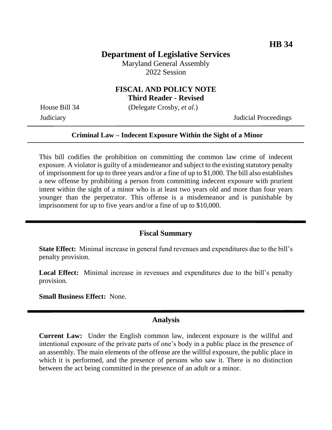## **Department of Legislative Services**

Maryland General Assembly 2022 Session

# **FISCAL AND POLICY NOTE**

**Third Reader - Revised**

House Bill 34 (Delegate Crosby, *et al.*)

Judiciary Judicial Proceedings

### **Criminal Law – Indecent Exposure Within the Sight of a Minor**

This bill codifies the prohibition on committing the common law crime of indecent exposure. A violator is guilty of a misdemeanor and subject to the existing statutory penalty of imprisonment for up to three years and/or a fine of up to \$1,000. The bill also establishes a new offense by prohibiting a person from committing indecent exposure with prurient intent within the sight of a minor who is at least two years old and more than four years younger than the perpetrator. This offense is a misdemeanor and is punishable by imprisonment for up to five years and/or a fine of up to \$10,000.

## **Fiscal Summary**

**State Effect:** Minimal increase in general fund revenues and expenditures due to the bill's penalty provision.

Local Effect: Minimal increase in revenues and expenditures due to the bill's penalty provision.

**Small Business Effect:** None.

### **Analysis**

**Current Law:** Under the English common law, indecent exposure is the willful and intentional exposure of the private parts of one's body in a public place in the presence of an assembly. The main elements of the offense are the willful exposure, the public place in which it is performed, and the presence of persons who saw it. There is no distinction between the act being committed in the presence of an adult or a minor.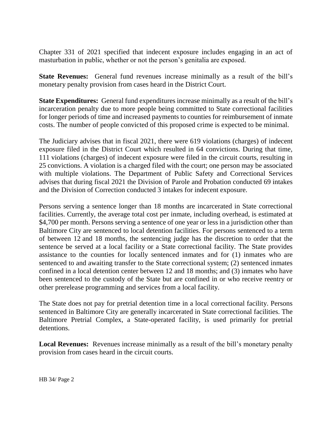Chapter 331 of 2021 specified that indecent exposure includes engaging in an act of masturbation in public, whether or not the person's genitalia are exposed.

**State Revenues:** General fund revenues increase minimally as a result of the bill's monetary penalty provision from cases heard in the District Court.

**State Expenditures:** General fund expenditures increase minimally as a result of the bill's incarceration penalty due to more people being committed to State correctional facilities for longer periods of time and increased payments to counties for reimbursement of inmate costs. The number of people convicted of this proposed crime is expected to be minimal.

The Judiciary advises that in fiscal 2021, there were 619 violations (charges) of indecent exposure filed in the District Court which resulted in 64 convictions. During that time, 111 violations (charges) of indecent exposure were filed in the circuit courts, resulting in 25 convictions. A violation is a charged filed with the court; one person may be associated with multiple violations. The Department of Public Safety and Correctional Services advises that during fiscal 2021 the Division of Parole and Probation conducted 69 intakes and the Division of Correction conducted 3 intakes for indecent exposure.

Persons serving a sentence longer than 18 months are incarcerated in State correctional facilities. Currently, the average total cost per inmate, including overhead, is estimated at \$4,700 per month. Persons serving a sentence of one year or less in a jurisdiction other than Baltimore City are sentenced to local detention facilities. For persons sentenced to a term of between 12 and 18 months, the sentencing judge has the discretion to order that the sentence be served at a local facility or a State correctional facility. The State provides assistance to the counties for locally sentenced inmates and for (1) inmates who are sentenced to and awaiting transfer to the State correctional system; (2) sentenced inmates confined in a local detention center between 12 and 18 months; and (3) inmates who have been sentenced to the custody of the State but are confined in or who receive reentry or other prerelease programming and services from a local facility.

The State does not pay for pretrial detention time in a local correctional facility. Persons sentenced in Baltimore City are generally incarcerated in State correctional facilities. The Baltimore Pretrial Complex, a State-operated facility, is used primarily for pretrial detentions.

**Local Revenues:** Revenues increase minimally as a result of the bill's monetary penalty provision from cases heard in the circuit courts.